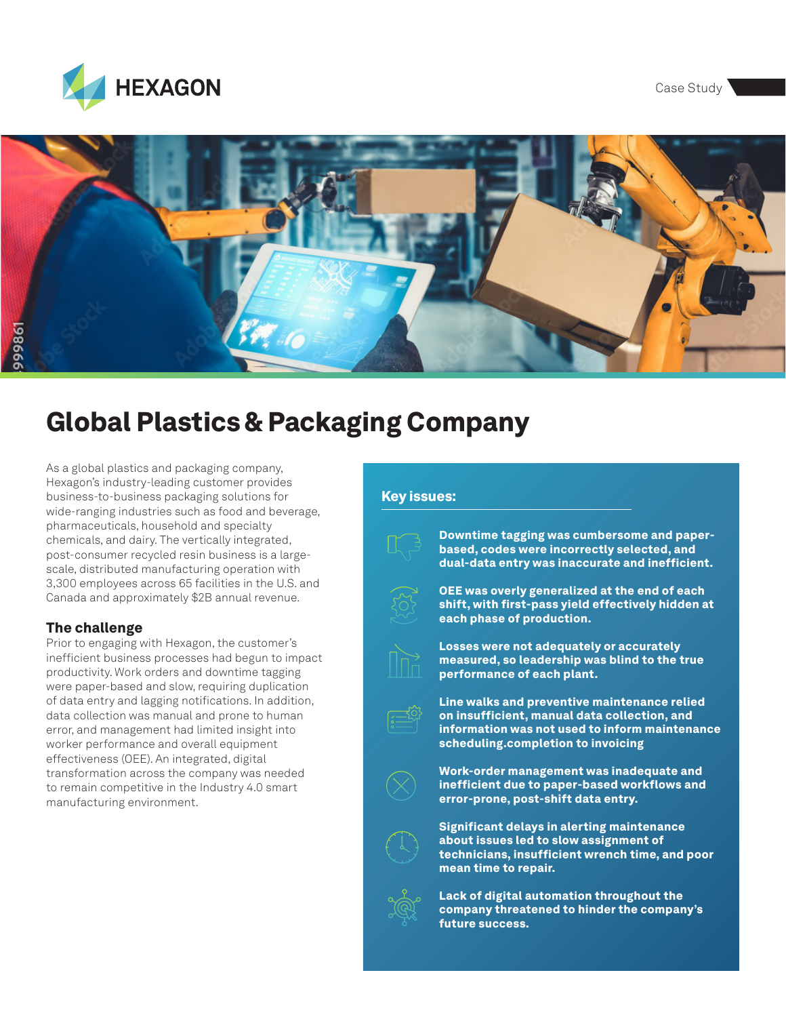Case Study





## Global Plastics & Packaging Company

As a global plastics and packaging company, Hexagon's industry-leading customer provides business-to-business packaging solutions for wide-ranging industries such as food and beverage, pharmaceuticals, household and specialty chemicals, and dairy. The vertically integrated, post-consumer recycled resin business is a largescale, distributed manufacturing operation with 3,300 employees across 65 facilities in the U.S. and Canada and approximately \$2B annual revenue.

## The challenge

Prior to engaging with Hexagon, the customer's inefficient business processes had begun to impact productivity. Work orders and downtime tagging were paper-based and slow, requiring duplication of data entry and lagging notifications. In addition, data collection was manual and prone to human error, and management had limited insight into worker performance and overall equipment effectiveness (OEE). An integrated, digital transformation across the company was needed to remain competitive in the Industry 4.0 smart manufacturing environment.

## Key issues:



Downtime tagging was cumbersome and paperbased, codes were incorrectly selected, and dual-data entry was inaccurate and inefficient.



OEE was overly generalized at the end of each shift, with first-pass yield effectively hidden at each phase of production.



Losses were not adequately or accurately measured, so leadership was blind to the true performance of each plant.



Line walks and preventive maintenance relied on insufficient, manual data collection, and information was not used to inform maintenance scheduling.completion to invoicing



Work-order management was inadequate and inefficient due to paper-based workflows and error-prone, post-shift data entry.



Significant delays in alerting maintenance about issues led to slow assignment of technicians, insufficient wrench time, and poor mean time to repair.



Lack of digital automation throughout the company threatened to hinder the company's future success.